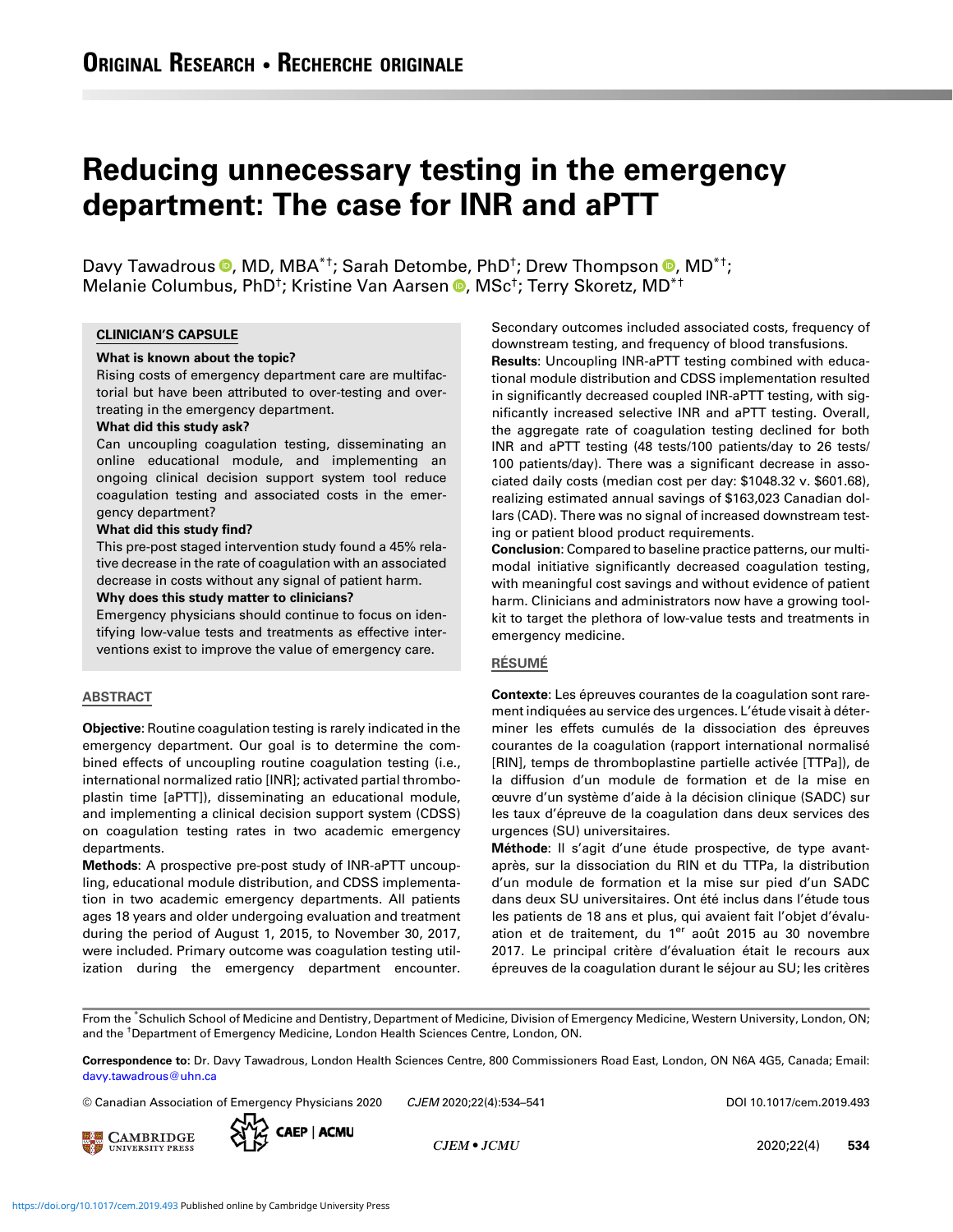# Reducing unnecessary testing in the emergency department: The case for INR and aPTT

Davy Tawadrous <sup>®</sup>, MD, MBA<sup>\*†</sup>; Sarah Detombe, PhD<sup>†</sup>; Drew Thompson <sup>®</sup>, MD<sup>\*†</sup>; Melanie Columbus, PhD<sup>†</sup>; Kristine Van Aarsen <sup>®</sup>, MSc<sup>†</sup>; Terry Skoretz, MD<sup>\*†</sup>

#### CLINICIAN'S CAPSULE

#### What is known about the topic?

Rising costs of emergency department care are multifactorial but have been attributed to over-testing and overtreating in the emergency department.

#### What did this study ask?

Can uncoupling coagulation testing, disseminating an online educational module, and implementing an ongoing clinical decision support system tool reduce coagulation testing and associated costs in the emergency department?

#### What did this study find?

This pre-post staged intervention study found a 45% relative decrease in the rate of coagulation with an associated decrease in costs without any signal of patient harm.

Why does this study matter to clinicians?

Emergency physicians should continue to focus on identifying low-value tests and treatments as effective interventions exist to improve the value of emergency care.

## ABSTRACT

Objective: Routine coagulation testing is rarely indicated in the emergency department. Our goal is to determine the combined effects of uncoupling routine coagulation testing (i.e., international normalized ratio [INR]; activated partial thromboplastin time [aPTT]), disseminating an educational module, and implementing a clinical decision support system (CDSS) on coagulation testing rates in two academic emergency departments.

Methods: A prospective pre-post study of INR-aPTT uncoupling, educational module distribution, and CDSS implementation in two academic emergency departments. All patients ages 18 years and older undergoing evaluation and treatment during the period of August 1, 2015, to November 30, 2017, were included. Primary outcome was coagulation testing utilization during the emergency department encounter. Secondary outcomes included associated costs, frequency of downstream testing, and frequency of blood transfusions.

Results: Uncoupling INR-aPTT testing combined with educational module distribution and CDSS implementation resulted in significantly decreased coupled INR-aPTT testing, with significantly increased selective INR and aPTT testing. Overall, the aggregate rate of coagulation testing declined for both INR and aPTT testing (48 tests/100 patients/day to 26 tests/ 100 patients/day). There was a significant decrease in associated daily costs (median cost per day: \$1048.32 v. \$601.68), realizing estimated annual savings of \$163,023 Canadian dollars (CAD). There was no signal of increased downstream testing or patient blood product requirements.

Conclusion: Compared to baseline practice patterns, our multimodal initiative significantly decreased coagulation testing, with meaningful cost savings and without evidence of patient harm. Clinicians and administrators now have a growing toolkit to target the plethora of low-value tests and treatments in emergency medicine.

## RÉSUMÉ

Contexte: Les épreuves courantes de la coagulation sont rarement indiquées au service des urgences. L'étude visait à déterminer les effets cumulés de la dissociation des épreuves courantes de la coagulation (rapport international normalisé [RIN], temps de thromboplastine partielle activée [TTPa]), de la diffusion d'un module de formation et de la mise en œuvre d'un système d'aide à la décision clinique (SADC) sur les taux d'épreuve de la coagulation dans deux services des urgences (SU) universitaires.

Méthode: Il s'agit d'une étude prospective, de type avantaprès, sur la dissociation du RIN et du TTPa, la distribution d'un module de formation et la mise sur pied d'un SADC dans deux SU universitaires. Ont été inclus dans l'étude tous les patients de 18 ans et plus, qui avaient fait l'objet d'évaluation et de traitement, du 1<sup>er</sup> août 2015 au 30 novembre 2017. Le principal critère d'évaluation était le recours aux épreuves de la coagulation durant le séjour au SU; les critères

From the \* Schulich School of Medicine and Dentistry, Department of Medicine, Division of Emergency Medicine, Western University, London, ON; and the † Department of Emergency Medicine, London Health Sciences Centre, London, ON.

Correspondence to: Dr. Davy Tawadrous, London Health Sciences Centre, 800 Commissioners Road East, London, ON N6A 4G5, Canada; Email: [davy.tawadrous@uhn.ca](mailto:davy.tawadrous@uhn.ca)

 $\circledcirc$  Canadian Association of Emergency Physicians 2020  $CIEM$  2020;22(4):534–541 DOI 10.1017/cem.2019.493





CJEM • JCMU 2020;22(4) 534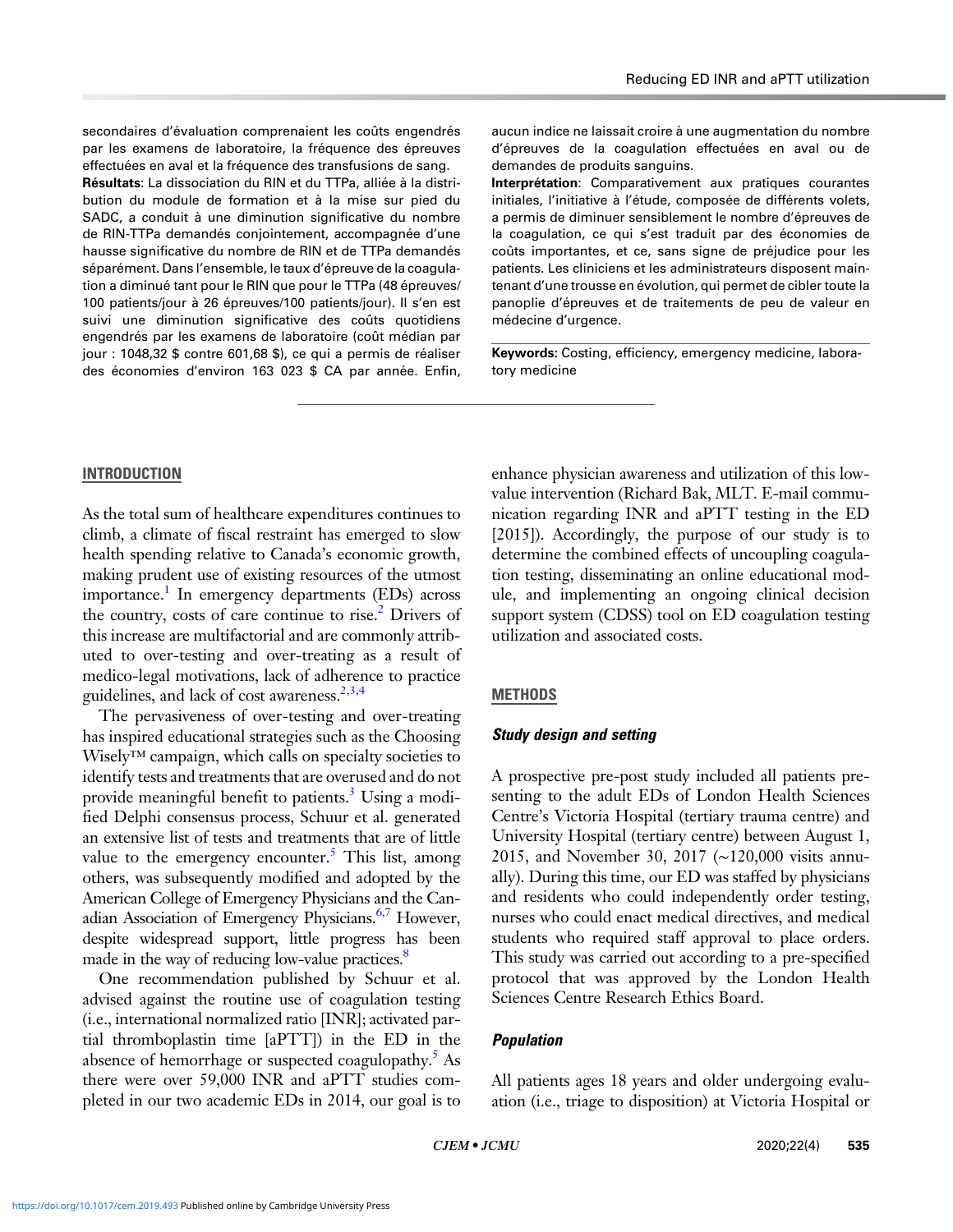secondaires d'évaluation comprenaient les coûts engendrés par les examens de laboratoire, la fréquence des épreuves effectuées en aval et la fréquence des transfusions de sang.

Résultats: La dissociation du RIN et du TTPa, alliée à la distribution du module de formation et à la mise sur pied du SADC, a conduit à une diminution significative du nombre de RIN-TTPa demandés conjointement, accompagnée d'une hausse significative du nombre de RIN et de TTPa demandés séparément. Dans l'ensemble, le taux d'épreuve de la coagulation a diminué tant pour le RIN que pour le TTPa (48 épreuves/ 100 patients/jour à 26 épreuves/100 patients/jour). Il s'en est suivi une diminution significative des coûts quotidiens engendrés par les examens de laboratoire (coût médian par jour : 1048,32 \$ contre 601,68 \$), ce qui a permis de réaliser des économies d'environ 163 023 \$ CA par année. Enfin,

aucun indice ne laissait croire à une augmentation du nombre d'épreuves de la coagulation effectuées en aval ou de demandes de produits sanguins.

Interprétation: Comparativement aux pratiques courantes initiales, l'initiative à l'étude, composée de différents volets, a permis de diminuer sensiblement le nombre d'épreuves de la coagulation, ce qui s'est traduit par des économies de coûts importantes, et ce, sans signe de préjudice pour les patients. Les cliniciens et les administrateurs disposent maintenant d'une trousse en évolution, qui permet de cibler toute la panoplie d'épreuves et de traitements de peu de valeur en médecine d'urgence.

Keywords: Costing, efficiency, emergency medicine, laboratory medicine

## INTRODUCTION

As the total sum of healthcare expenditures continues to climb, a climate of fiscal restraint has emerged to slow health spending relative to Canada's economic growth, making prudent use of existing resources of the utmost importance.<sup>1</sup> In emergency departments (EDs) across the country, costs of care continue to rise. $^{2}$  $^{2}$  $^{2}$  Drivers of this increase are multifactorial and are commonly attributed to over-testing and over-treating as a result of medico-legal motivations, lack of adherence to practice guidelines, and lack of cost awareness.<sup>[2,3,4](#page-7-0)</sup>

The pervasiveness of over-testing and over-treating has inspired educational strategies such as the Choosing Wisely™ campaign, which calls on specialty societies to identify tests and treatments that are overused and do not provide meaningful benefit to patients.<sup>3</sup> Using a modified Delphi consensus process, Schuur et al. generated an extensive list of tests and treatments that are of little value to the emergency encounter.<sup>5</sup> This list, among others, was subsequently modified and adopted by the American College of Emergency Physicians and the Can-adian Association of Emergency Physicians.<sup>[6,7](#page-7-0)</sup> However, despite widespread support, little progress has been made in the way of reducing low-value practices.<sup>8</sup>

One recommendation published by Schuur et al. advised against the routine use of coagulation testing (i.e., international normalized ratio [INR]; activated partial thromboplastin time [aPTT]) in the ED in the absence of hemorrhage or suspected coagulopathy.<sup>[5](#page-7-0)</sup> As there were over 59,000 INR and aPTT studies completed in our two academic EDs in 2014, our goal is to

enhance physician awareness and utilization of this lowvalue intervention (Richard Bak, MLT. E-mail communication regarding INR and aPTT testing in the ED [2015]). Accordingly, the purpose of our study is to determine the combined effects of uncoupling coagulation testing, disseminating an online educational module, and implementing an ongoing clinical decision support system (CDSS) tool on ED coagulation testing utilization and associated costs.

## **METHODS**

## Study design and setting

A prospective pre-post study included all patients presenting to the adult EDs of London Health Sciences Centre's Victoria Hospital (tertiary trauma centre) and University Hospital (tertiary centre) between August 1, 2015, and November 30, 2017 (∼120,000 visits annually). During this time, our ED was staffed by physicians and residents who could independently order testing, nurses who could enact medical directives, and medical students who required staff approval to place orders. This study was carried out according to a pre-specified protocol that was approved by the London Health Sciences Centre Research Ethics Board.

## Population

All patients ages 18 years and older undergoing evaluation (i.e., triage to disposition) at Victoria Hospital or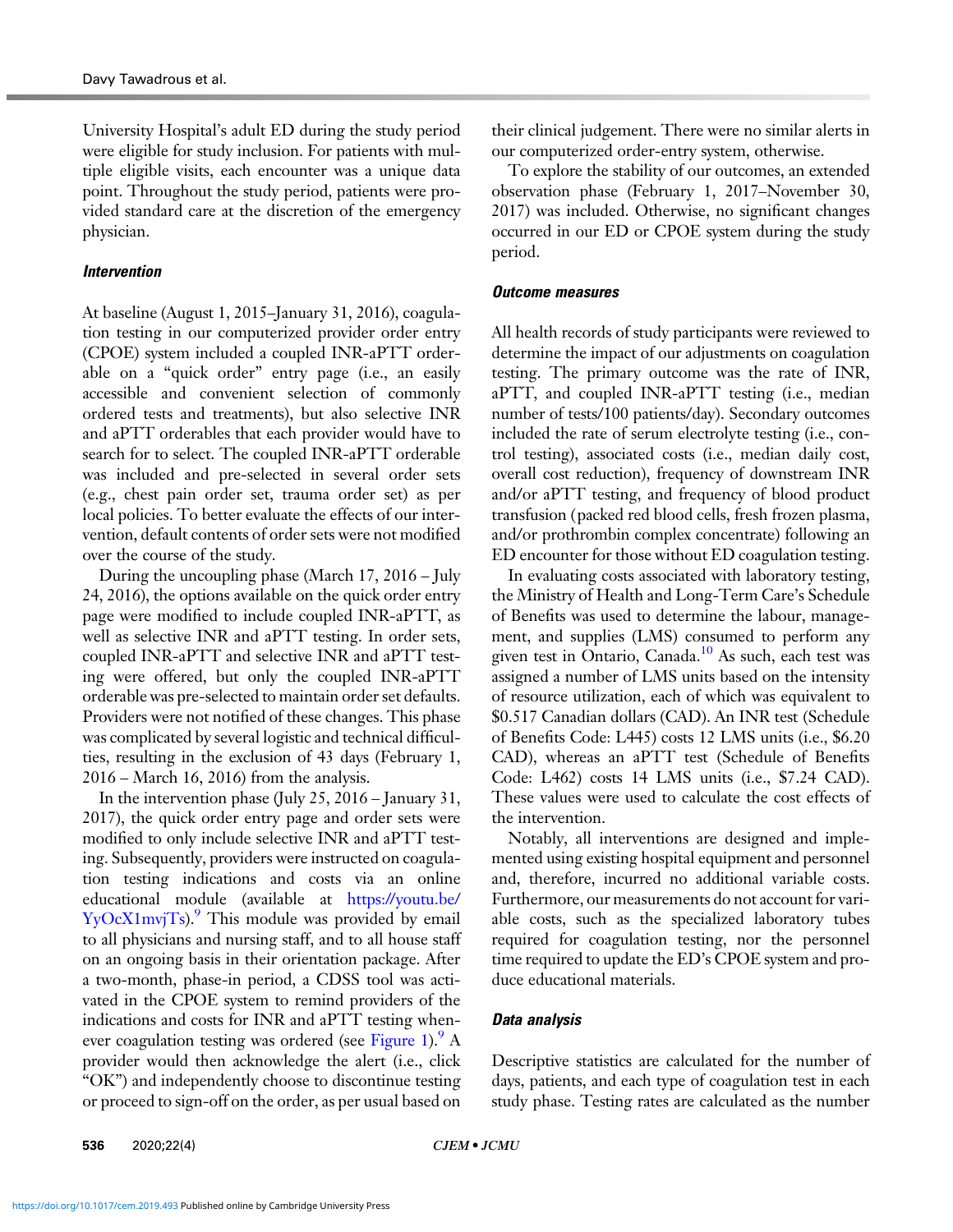University Hospital's adult ED during the study period were eligible for study inclusion. For patients with multiple eligible visits, each encounter was a unique data point. Throughout the study period, patients were provided standard care at the discretion of the emergency physician.

## Intervention

At baseline (August 1, 2015–January 31, 2016), coagulation testing in our computerized provider order entry (CPOE) system included a coupled INR-aPTT orderable on a "quick order" entry page (i.e., an easily accessible and convenient selection of commonly ordered tests and treatments), but also selective INR and aPTT orderables that each provider would have to search for to select. The coupled INR-aPTT orderable was included and pre-selected in several order sets (e.g., chest pain order set, trauma order set) as per local policies. To better evaluate the effects of our intervention, default contents of order sets were not modified over the course of the study.

During the uncoupling phase (March 17, 2016 – July 24, 2016), the options available on the quick order entry page were modified to include coupled INR-aPTT, as well as selective INR and aPTT testing. In order sets, coupled INR-aPTT and selective INR and aPTT testing were offered, but only the coupled INR-aPTT orderable was pre-selected to maintain order set defaults. Providers were not notified of these changes. This phase was complicated by several logistic and technical difficulties, resulting in the exclusion of 43 days (February 1, 2016 – March 16, 2016) from the analysis.

In the intervention phase (July 25, 2016 – January 31, 2017), the quick order entry page and order sets were modified to only include selective INR and aPTT testing. Subsequently, providers were instructed on coagulation testing indications and costs via an online educational module (available at [https://youtu.be/](https://youtu.be/YyOcX1mvjTs)  $YyOcX1mvjTs$ .<sup>[9](#page-7-0)</sup> This module was provided by email to all physicians and nursing staff, and to all house staff on an ongoing basis in their orientation package. After a two-month, phase-in period, a CDSS tool was activated in the CPOE system to remind providers of the indications and costs for INR and aPTT testing when-ever coagulation testing was ordered (see [Figure 1\)](#page-3-0).  $^9$  A provider would then acknowledge the alert (i.e., click "OK") and independently choose to discontinue testing or proceed to sign-off on the order, as per usual based on their clinical judgement. There were no similar alerts in our computerized order-entry system, otherwise.

To explore the stability of our outcomes, an extended observation phase (February 1, 2017–November 30, 2017) was included. Otherwise, no significant changes occurred in our ED or CPOE system during the study period.

## Outcome measures

All health records of study participants were reviewed to determine the impact of our adjustments on coagulation testing. The primary outcome was the rate of INR, aPTT, and coupled INR-aPTT testing (i.e., median number of tests/100 patients/day). Secondary outcomes included the rate of serum electrolyte testing (i.e., control testing), associated costs (i.e., median daily cost, overall cost reduction), frequency of downstream INR and/or aPTT testing, and frequency of blood product transfusion (packed red blood cells, fresh frozen plasma, and/or prothrombin complex concentrate) following an ED encounter for those without ED coagulation testing.

In evaluating costs associated with laboratory testing, the Ministry of Health and Long-Term Care's Schedule of Benefits was used to determine the labour, management, and supplies (LMS) consumed to perform any given test in Ontario, Canada.<sup>10</sup> As such, each test was assigned a number of LMS units based on the intensity of resource utilization, each of which was equivalent to \$0.517 Canadian dollars (CAD). An INR test (Schedule of Benefits Code: L445) costs 12 LMS units (i.e., \$6.20 CAD), whereas an aPTT test (Schedule of Benefits Code: L462) costs 14 LMS units (i.e., \$7.24 CAD). These values were used to calculate the cost effects of the intervention.

Notably, all interventions are designed and implemented using existing hospital equipment and personnel and, therefore, incurred no additional variable costs. Furthermore, our measurements do not account for variable costs, such as the specialized laboratory tubes required for coagulation testing, nor the personnel time required to update the ED's CPOE system and produce educational materials.

## Data analysis

Descriptive statistics are calculated for the number of days, patients, and each type of coagulation test in each study phase. Testing rates are calculated as the number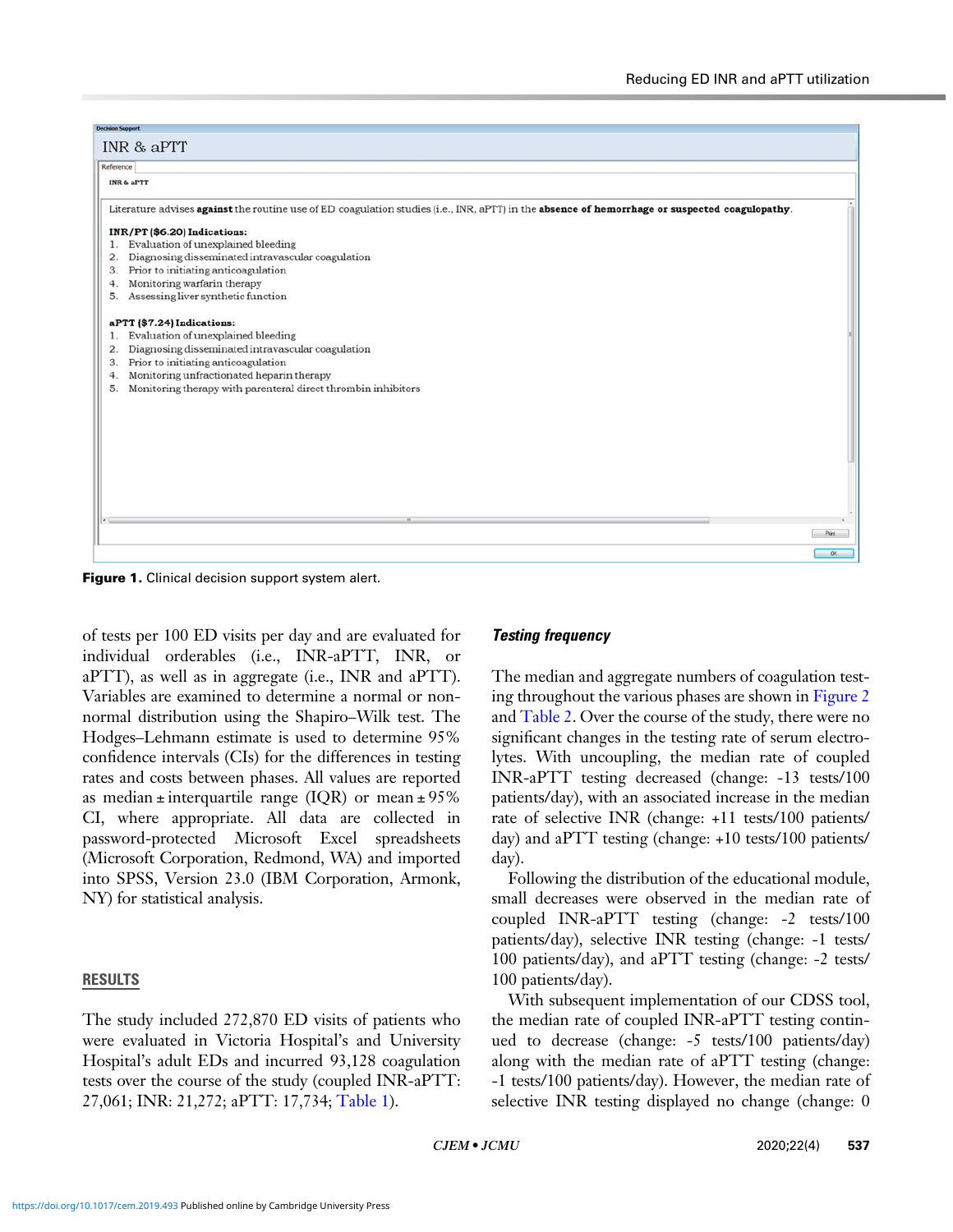<span id="page-3-0"></span>

Figure 1. Clinical decision support system alert.

of tests per 100 ED visits per day and are evaluated for individual orderables (i.e., INR-aPTT, INR, or aPTT), as well as in aggregate (i.e., INR and aPTT). Variables are examined to determine a normal or nonnormal distribution using the Shapiro–Wilk test. The Hodges–Lehmann estimate is used to determine 95% confidence intervals (CIs) for the differences in testing rates and costs between phases. All values are reported as median  $\pm$  interquartile range (IQR) or mean  $\pm$  95% CI, where appropriate. All data are collected in password-protected Microsoft Excel spreadsheets (Microsoft Corporation, Redmond, WA) and imported into SPSS, Version 23.0 (IBM Corporation, Armonk, NY) for statistical analysis.

## RESULTS

The study included 272,870 ED visits of patients who were evaluated in Victoria Hospital's and University Hospital's adult EDs and incurred 93,128 coagulation tests over the course of the study (coupled INR-aPTT: 27,061; INR: 21,272; aPTT: 17,734; [Table 1](#page-4-0)).

## Testing frequency

The median and aggregate numbers of coagulation testing throughout the various phases are shown in [Figure 2](#page-4-0) and [Table 2.](#page-4-0) Over the course of the study, there were no significant changes in the testing rate of serum electrolytes. With uncoupling, the median rate of coupled INR-aPTT testing decreased (change: -13 tests/100 patients/day), with an associated increase in the median rate of selective INR (change: +11 tests/100 patients/ day) and aPTT testing (change: +10 tests/100 patients/ day).

Following the distribution of the educational module, small decreases were observed in the median rate of coupled INR-aPTT testing (change: -2 tests/100 patients/day), selective INR testing (change: -1 tests/ 100 patients/day), and aPTT testing (change: -2 tests/ 100 patients/day).

With subsequent implementation of our CDSS tool, the median rate of coupled INR-aPTT testing continued to decrease (change: -5 tests/100 patients/day) along with the median rate of aPTT testing (change: -1 tests/100 patients/day). However, the median rate of selective INR testing displayed no change (change: 0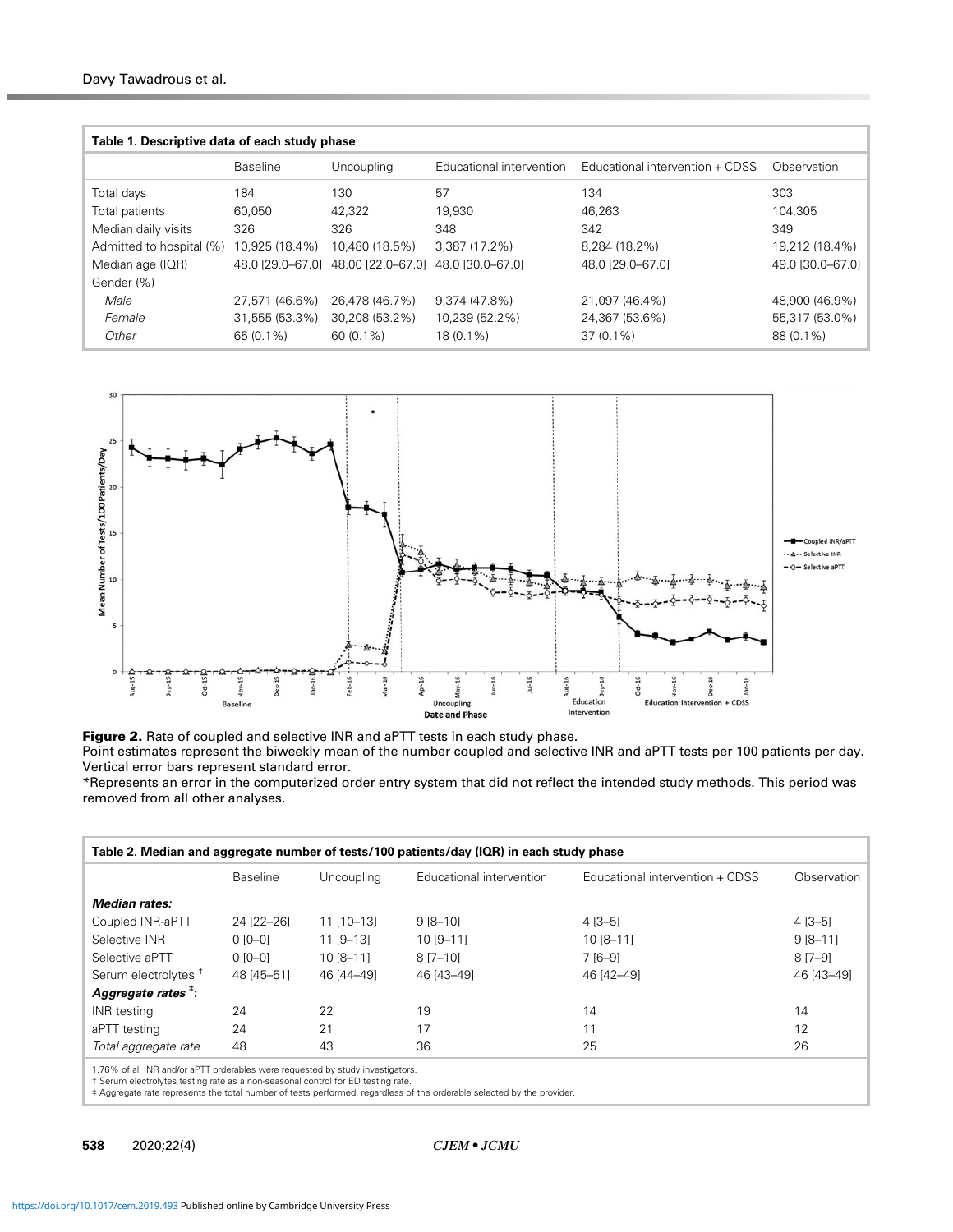<span id="page-4-0"></span>

| Table 1. Descriptive data of each study phase |                  |                   |                          |                                 |                  |
|-----------------------------------------------|------------------|-------------------|--------------------------|---------------------------------|------------------|
|                                               | <b>Baseline</b>  | Uncoupling        | Educational intervention | Educational intervention + CDSS | Observation      |
| Total days                                    | 184              | 130               | 57                       | 134                             | 303              |
| Total patients                                | 60.050           | 42,322            | 19,930                   | 46.263                          | 104.305          |
| Median daily visits                           | 326              | 326               | 348                      | 342                             | 349              |
| Admitted to hospital (%)                      | 10,925 (18.4%)   | 10.480 (18.5%)    | 3,387 (17.2%)            | 8.284 (18.2%)                   | 19,212 (18.4%)   |
| Median age (IQR)                              | 48.0 [29.0–67.0] | 48.00 [22.0-67.0] | 48.0 [30.0-67.0]         | 48.0 [29.0-67.0]                | 49.0 [30.0-67.0] |
| Gender (%)                                    |                  |                   |                          |                                 |                  |
| Male                                          | 27.571 (46.6%)   | 26.478 (46.7%)    | $9.374(47.8\%)$          | 21.097 (46.4%)                  | 48,900 (46.9%)   |
| Female                                        | 31,555 (53.3%)   | 30,208 (53.2%)    | 10.239 (52.2%)           | 24,367 (53.6%)                  | 55,317 (53.0%)   |
| Other                                         | 65 (0.1%)        | $60(0.1\%)$       | 18 (0.1%)                | $37(0.1\%)$                     | 88 (0.1%)        |



Figure 2. Rate of coupled and selective INR and aPTT tests in each study phase.

Point estimates represent the biweekly mean of the number coupled and selective INR and aPTT tests per 100 patients per day. Vertical error bars represent standard error.

\*Represents an error in the computerized order entry system that did not reflect the intended study methods. This period was removed from all other analyses.

| Table 2. Median and aggregate number of tests/100 patients/day (IQR) in each study phase                                                                                                                                                                                                |                 |             |                          |                                 |              |
|-----------------------------------------------------------------------------------------------------------------------------------------------------------------------------------------------------------------------------------------------------------------------------------------|-----------------|-------------|--------------------------|---------------------------------|--------------|
|                                                                                                                                                                                                                                                                                         | <b>Baseline</b> | Uncoupling  | Educational intervention | Educational intervention + CDSS | Observation  |
| Median rates:                                                                                                                                                                                                                                                                           |                 |             |                          |                                 |              |
| Coupled INR-aPTT                                                                                                                                                                                                                                                                        | 24 [22-26]      | 11 [10-13]  | $9[8-10]$                | $4$ [3-5]                       | $4$ [3-5]    |
| Selective INR                                                                                                                                                                                                                                                                           | $0$ [0-0]       | $11$ [9-13] | $10 [9 - 11]$            | $10[8-11]$                      | $9 [8 - 11]$ |
| Selective aPTT                                                                                                                                                                                                                                                                          | $0$ [0-0]       | 10 [8-11]   | 8 [7-10]                 | 7 [6-9]                         | $8[7-9]$     |
| Serum electrolytes <sup>t</sup>                                                                                                                                                                                                                                                         | 48 [45-51]      | 46 [44-49]  | 46 [43-49]               | 46 [42-49]                      | 46 [43-49]   |
| Aggregate rates <sup>#</sup> :                                                                                                                                                                                                                                                          |                 |             |                          |                                 |              |
| INR testing                                                                                                                                                                                                                                                                             | 24              | 22          | 19                       | 14                              | 14           |
| aPTT testing                                                                                                                                                                                                                                                                            | 24              | 21          | 17                       | 11                              | 12           |
| Total aggregate rate                                                                                                                                                                                                                                                                    | 48              | 43          | 36                       | 25                              | 26           |
| 1.76% of all INR and/or aPTT orderables were requested by study investigators.<br>t Serum electrolytes testing rate as a non-seasonal control for ED testing rate.<br>± A concert on a concertable mathematic contracts of a could concelled a fuller coloration of a concelled and the |                 |             |                          |                                 |              |

‡ Aggregate rate represents the total number of tests performed, regardless of the orderable selected by the provider.

538 2020;22(4) CJEM • JCMU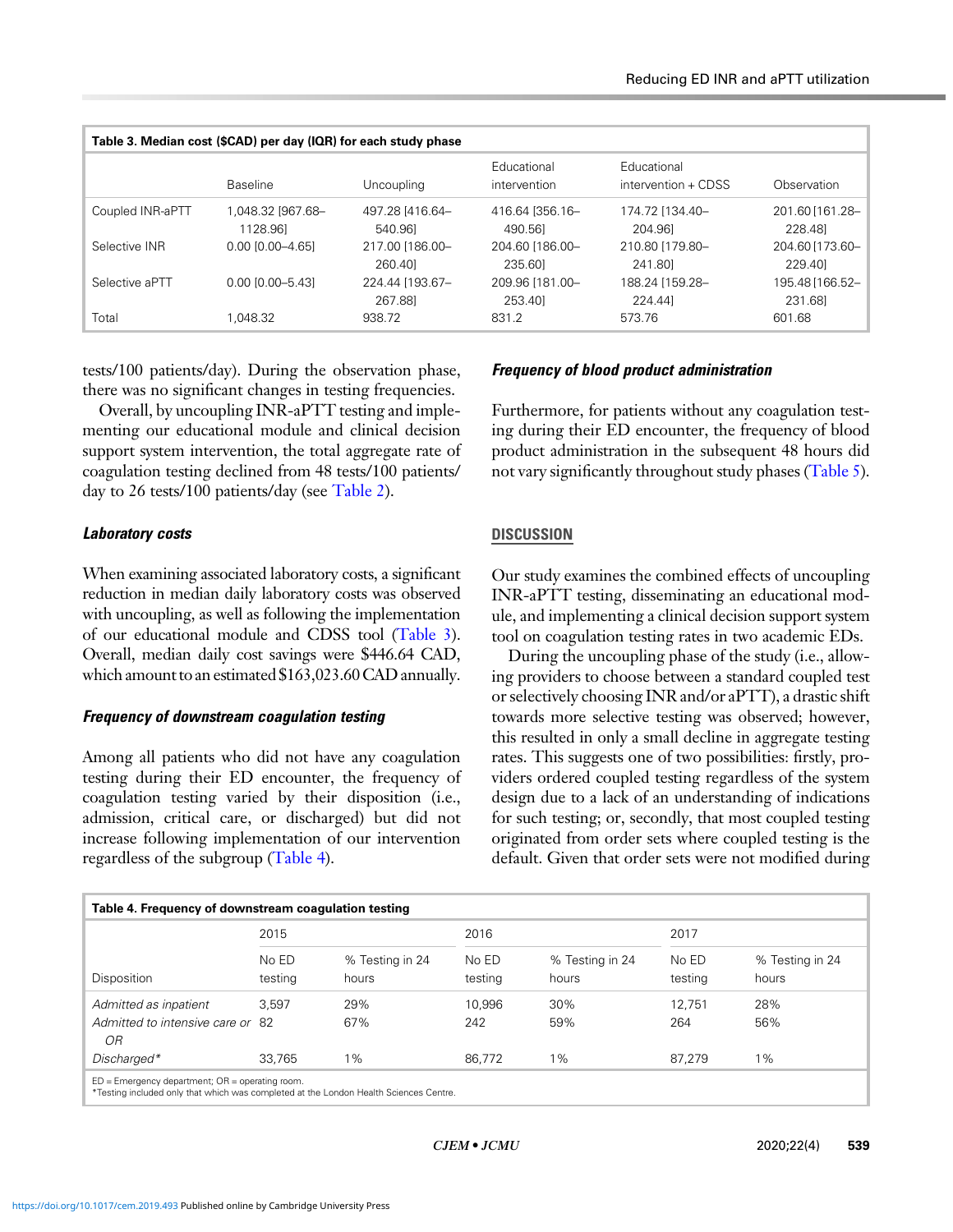| Table 3. Median cost (\$CAD) per day (IQR) for each study phase |                               |                            |                             |                                    |                            |  |
|-----------------------------------------------------------------|-------------------------------|----------------------------|-----------------------------|------------------------------------|----------------------------|--|
|                                                                 | <b>Baseline</b>               | <b>Uncoupling</b>          | Educational<br>intervention | Educational<br>intervention + CDSS | Observation                |  |
| Coupled INR-aPTT                                                | 1,048.32 [967.68-<br>1128.961 | 497.28 [416.64-<br>540.961 | 416.64 356.16-<br>490.561   | 174.72 [134.40-<br>204.961         | 201.60 [161.28-<br>228.481 |  |
| Selective INR                                                   | $0.00$ $[0.00 - 4.65]$        | 217.00 [186.00-<br>260.40  | 204.60 [186.00-<br>235.60   | 210.80 [179.80-<br>241.80          | 204.60 [173.60-<br>229.401 |  |
| Selective aPTT                                                  | $0.00$ $[0.00 - 5.43]$        | 224.44 [193.67-<br>267.881 | 209.96 [181.00-<br>253.40   | 188.24 [159.28-<br>224.441         | 195.48 [166.52-<br>231.681 |  |
| Total                                                           | 1.048.32                      | 938.72                     | 831.2                       | 573.76                             | 601.68                     |  |

tests/100 patients/day). During the observation phase, there was no significant changes in testing frequencies.

Overall, by uncoupling INR-aPTT testing and implementing our educational module and clinical decision support system intervention, the total aggregate rate of coagulation testing declined from 48 tests/100 patients/ day to 26 tests/100 patients/day (see [Table 2](#page-4-0)).

## Laboratory costs

When examining associated laboratory costs, a significant reduction in median daily laboratory costs was observed with uncoupling, as well as following the implementation of our educational module and CDSS tool (Table 3). Overall, median daily cost savings were \$446.64 CAD, which amount to an estimated \$163,023.60 CAD annually.

# Frequency of downstream coagulation testing

Among all patients who did not have any coagulation testing during their ED encounter, the frequency of coagulation testing varied by their disposition (i.e., admission, critical care, or discharged) but did not increase following implementation of our intervention regardless of the subgroup (Table 4).

# Frequency of blood product administration

Furthermore, for patients without any coagulation testing during their ED encounter, the frequency of blood product administration in the subsequent 48 hours did not vary significantly throughout study phases ([Table 5](#page-6-0)).

# **DISCUSSION**

Our study examines the combined effects of uncoupling INR-aPTT testing, disseminating an educational module, and implementing a clinical decision support system tool on coagulation testing rates in two academic EDs.

During the uncoupling phase of the study (i.e., allowing providers to choose between a standard coupled test or selectively choosing INR and/or aPTT), a drastic shift towards more selective testing was observed; however, this resulted in only a small decline in aggregate testing rates. This suggests one of two possibilities: firstly, providers ordered coupled testing regardless of the system design due to a lack of an understanding of indications for such testing; or, secondly, that most coupled testing originated from order sets where coupled testing is the default. Given that order sets were not modified during

| Table 4. Frequency of downstream coagulation testing                                                                                         |                  |                          |                  |                          |                  |                          |
|----------------------------------------------------------------------------------------------------------------------------------------------|------------------|--------------------------|------------------|--------------------------|------------------|--------------------------|
|                                                                                                                                              | 2015             |                          | 2016             |                          | 2017             |                          |
| Disposition                                                                                                                                  | No ED<br>testing | % Testing in 24<br>hours | No ED<br>testing | % Testing in 24<br>hours | No ED<br>testing | % Testing in 24<br>hours |
| Admitted as inpatient                                                                                                                        | 3.597            | 29%                      | 10.996           | 30%                      | 12.751           | 28%                      |
| Admitted to intensive care or 82<br>OR                                                                                                       |                  | 67%                      | 242              | 59%                      | 264              | 56%                      |
| Discharged*                                                                                                                                  | 33.765           | $1\%$                    | 86.772           | 1%                       | 87.279           | $1\%$                    |
| $ED = Emerqency$ department; $OR = operating$ room.<br>*Testing included only that which was completed at the London Health Sciences Centre. |                  |                          |                  |                          |                  |                          |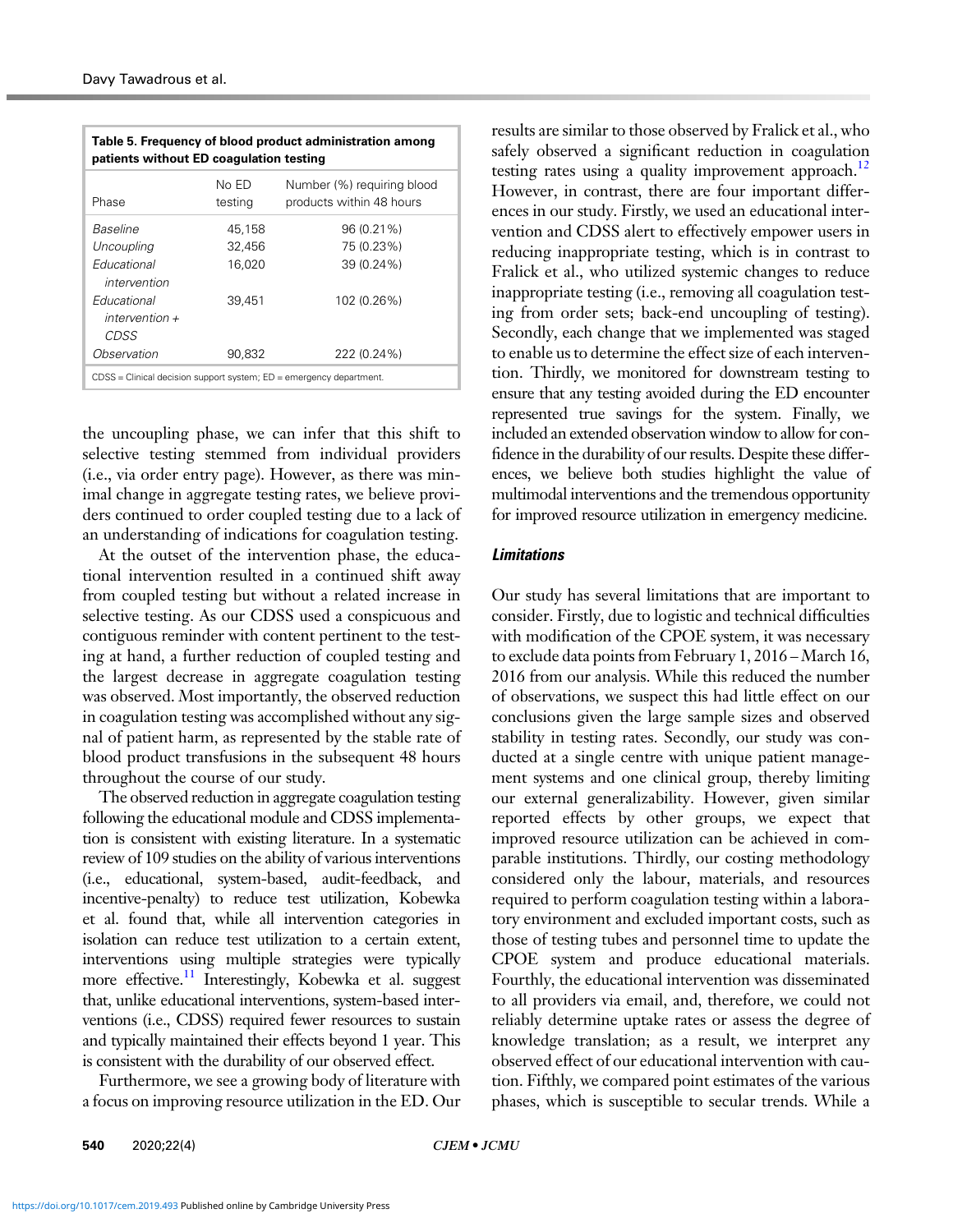<span id="page-6-0"></span>

| Table 5. Frequency of blood product administration among<br>patients without ED coagulation testing |                  |                                                        |  |  |
|-----------------------------------------------------------------------------------------------------|------------------|--------------------------------------------------------|--|--|
| Phase                                                                                               | No ED<br>testing | Number (%) requiring blood<br>products within 48 hours |  |  |
| Baseline                                                                                            | 45,158           | 96 (0.21%)                                             |  |  |
| Uncoupling                                                                                          | 32,456           | 75 (0.23%)                                             |  |  |
| Fducational<br>intervention                                                                         | 16,020           | 39 (0.24%)                                             |  |  |
| Educational<br>$intervention +$<br>CDSS                                                             | 39.451           | 102 (0.26%)                                            |  |  |
| Observation                                                                                         | 90.832           | 222 (0.24%)                                            |  |  |
| $CDSS =$ Clinical decision support system; $ED =$ emergency department.                             |                  |                                                        |  |  |

the uncoupling phase, we can infer that this shift to selective testing stemmed from individual providers (i.e., via order entry page). However, as there was minimal change in aggregate testing rates, we believe providers continued to order coupled testing due to a lack of an understanding of indications for coagulation testing.

At the outset of the intervention phase, the educational intervention resulted in a continued shift away from coupled testing but without a related increase in selective testing. As our CDSS used a conspicuous and contiguous reminder with content pertinent to the testing at hand, a further reduction of coupled testing and the largest decrease in aggregate coagulation testing was observed. Most importantly, the observed reduction in coagulation testing was accomplished without any signal of patient harm, as represented by the stable rate of blood product transfusions in the subsequent 48 hours throughout the course of our study.

The observed reduction in aggregate coagulation testing following the educational module and CDSS implementation is consistent with existing literature. In a systematic review of 109 studies on the ability of various interventions (i.e., educational, system-based, audit-feedback, and incentive-penalty) to reduce test utilization, Kobewka et al. found that, while all intervention categories in isolation can reduce test utilization to a certain extent, interventions using multiple strategies were typically more effective.<sup>[11](#page-7-0)</sup> Interestingly, Kobewka et al. suggest that, unlike educational interventions, system-based interventions (i.e., CDSS) required fewer resources to sustain and typically maintained their effects beyond 1 year. This is consistent with the durability of our observed effect.

Furthermore, we see a growing body of literature with a focus on improving resource utilization in the ED. Our results are similar to those observed by Fralick et al., who safely observed a significant reduction in coagulation testing rates using a quality improvement approach.<sup>[12](#page-7-0)</sup> However, in contrast, there are four important differences in our study. Firstly, we used an educational intervention and CDSS alert to effectively empower users in reducing inappropriate testing, which is in contrast to Fralick et al., who utilized systemic changes to reduce inappropriate testing (i.e., removing all coagulation testing from order sets; back-end uncoupling of testing). Secondly, each change that we implemented was staged to enable us to determine the effect size of each intervention. Thirdly, we monitored for downstream testing to ensure that any testing avoided during the ED encounter represented true savings for the system. Finally, we included an extended observation window to allow for confidence in the durability of our results. Despite these differences, we believe both studies highlight the value of multimodal interventions and the tremendous opportunity for improved resource utilization in emergency medicine.

## Limitations

Our study has several limitations that are important to consider. Firstly, due to logistic and technical difficulties with modification of the CPOE system, it was necessary to exclude data points from February 1, 2016 – March 16, 2016 from our analysis. While this reduced the number of observations, we suspect this had little effect on our conclusions given the large sample sizes and observed stability in testing rates. Secondly, our study was conducted at a single centre with unique patient management systems and one clinical group, thereby limiting our external generalizability. However, given similar reported effects by other groups, we expect that improved resource utilization can be achieved in comparable institutions. Thirdly, our costing methodology considered only the labour, materials, and resources required to perform coagulation testing within a laboratory environment and excluded important costs, such as those of testing tubes and personnel time to update the CPOE system and produce educational materials. Fourthly, the educational intervention was disseminated to all providers via email, and, therefore, we could not reliably determine uptake rates or assess the degree of knowledge translation; as a result, we interpret any observed effect of our educational intervention with caution. Fifthly, we compared point estimates of the various phases, which is susceptible to secular trends. While a